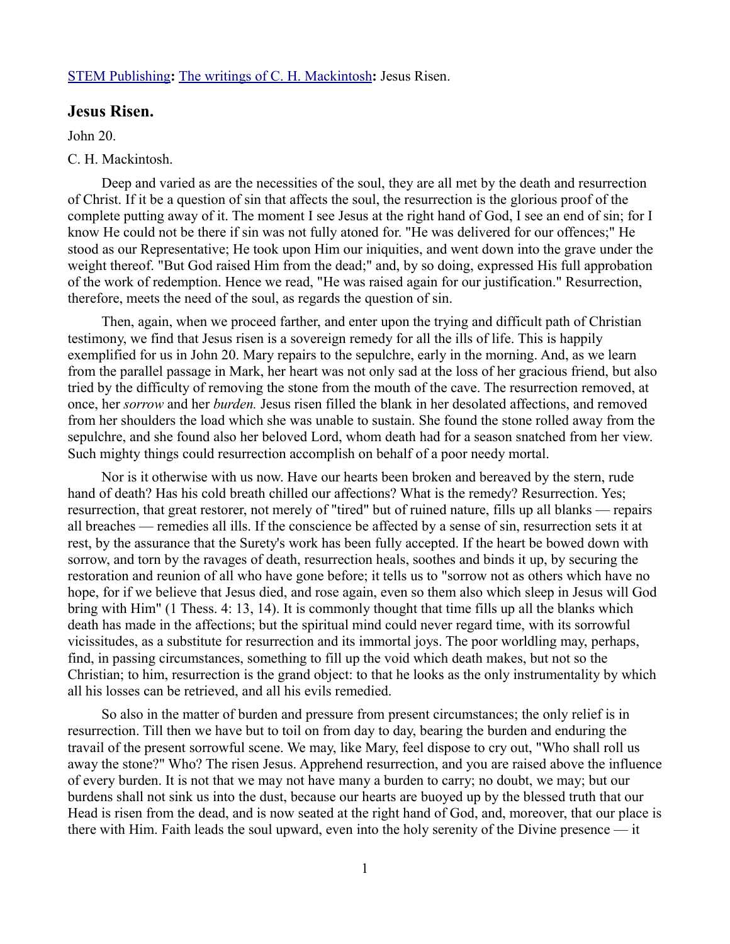## [STEM Publishing](http://www.stempublishing.com/)**:** [The writings of C. H. Mackintosh](http://www.stempublishing.com/authors/mackintosh/index.html)**:** Jesus Risen.

## **Jesus Risen.**

John 20.

## C. H. Mackintosh.

Deep and varied as are the necessities of the soul, they are all met by the death and resurrection of Christ. If it be a question of sin that affects the soul, the resurrection is the glorious proof of the complete putting away of it. The moment I see Jesus at the right hand of God, I see an end of sin; for I know He could not be there if sin was not fully atoned for. "He was delivered for our offences;" He stood as our Representative; He took upon Him our iniquities, and went down into the grave under the weight thereof. "But God raised Him from the dead;" and, by so doing, expressed His full approbation of the work of redemption. Hence we read, "He was raised again for our justification." Resurrection, therefore, meets the need of the soul, as regards the question of sin.

Then, again, when we proceed farther, and enter upon the trying and difficult path of Christian testimony, we find that Jesus risen is a sovereign remedy for all the ills of life. This is happily exemplified for us in John 20. Mary repairs to the sepulchre, early in the morning. And, as we learn from the parallel passage in Mark, her heart was not only sad at the loss of her gracious friend, but also tried by the difficulty of removing the stone from the mouth of the cave. The resurrection removed, at once, her *sorrow* and her *burden.* Jesus risen filled the blank in her desolated affections, and removed from her shoulders the load which she was unable to sustain. She found the stone rolled away from the sepulchre, and she found also her beloved Lord, whom death had for a season snatched from her view. Such mighty things could resurrection accomplish on behalf of a poor needy mortal.

Nor is it otherwise with us now. Have our hearts been broken and bereaved by the stern, rude hand of death? Has his cold breath chilled our affections? What is the remedy? Resurrection. Yes; resurrection, that great restorer, not merely of "tired" but of ruined nature, fills up all blanks — repairs all breaches — remedies all ills. If the conscience be affected by a sense of sin, resurrection sets it at rest, by the assurance that the Surety's work has been fully accepted. If the heart be bowed down with sorrow, and torn by the ravages of death, resurrection heals, soothes and binds it up, by securing the restoration and reunion of all who have gone before; it tells us to "sorrow not as others which have no hope, for if we believe that Jesus died, and rose again, even so them also which sleep in Jesus will God bring with Him" (1 Thess. 4: 13, 14). It is commonly thought that time fills up all the blanks which death has made in the affections; but the spiritual mind could never regard time, with its sorrowful vicissitudes, as a substitute for resurrection and its immortal joys. The poor worldling may, perhaps, find, in passing circumstances, something to fill up the void which death makes, but not so the Christian; to him, resurrection is the grand object: to that he looks as the only instrumentality by which all his losses can be retrieved, and all his evils remedied.

So also in the matter of burden and pressure from present circumstances; the only relief is in resurrection. Till then we have but to toil on from day to day, bearing the burden and enduring the travail of the present sorrowful scene. We may, like Mary, feel dispose to cry out, "Who shall roll us away the stone?" Who? The risen Jesus. Apprehend resurrection, and you are raised above the influence of every burden. It is not that we may not have many a burden to carry; no doubt, we may; but our burdens shall not sink us into the dust, because our hearts are buoyed up by the blessed truth that our Head is risen from the dead, and is now seated at the right hand of God, and, moreover, that our place is there with Him. Faith leads the soul upward, even into the holy serenity of the Divine presence — it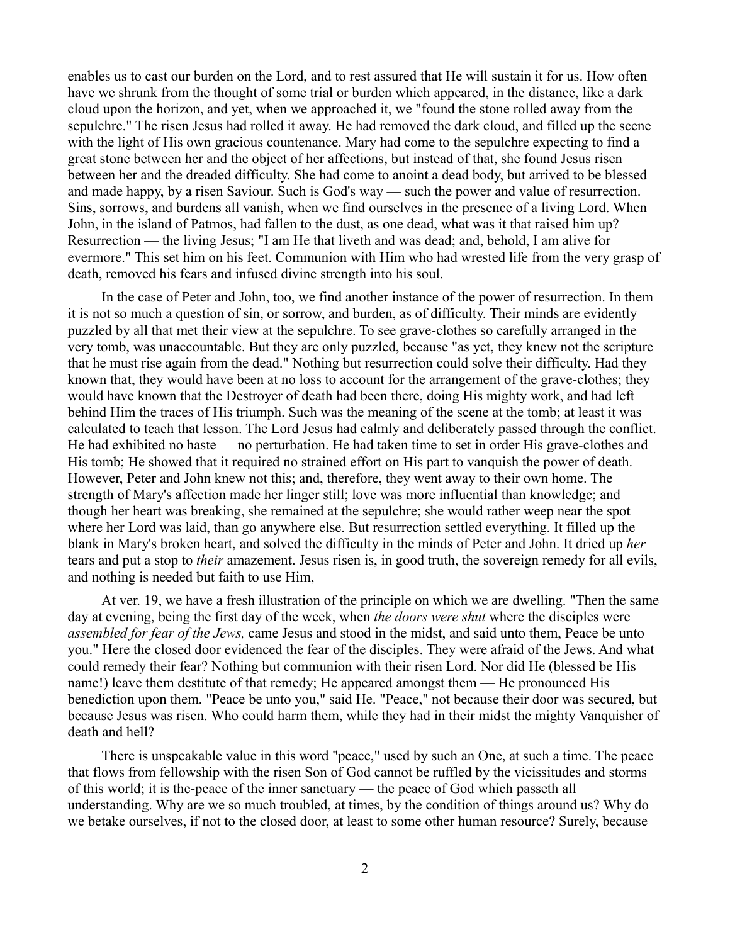enables us to cast our burden on the Lord, and to rest assured that He will sustain it for us. How often have we shrunk from the thought of some trial or burden which appeared, in the distance, like a dark cloud upon the horizon, and yet, when we approached it, we "found the stone rolled away from the sepulchre." The risen Jesus had rolled it away. He had removed the dark cloud, and filled up the scene with the light of His own gracious countenance. Mary had come to the sepulchre expecting to find a great stone between her and the object of her affections, but instead of that, she found Jesus risen between her and the dreaded difficulty. She had come to anoint a dead body, but arrived to be blessed and made happy, by a risen Saviour. Such is God's way — such the power and value of resurrection. Sins, sorrows, and burdens all vanish, when we find ourselves in the presence of a living Lord. When John, in the island of Patmos, had fallen to the dust, as one dead, what was it that raised him up? Resurrection — the living Jesus; "I am He that liveth and was dead; and, behold, I am alive for evermore." This set him on his feet. Communion with Him who had wrested life from the very grasp of death, removed his fears and infused divine strength into his soul.

In the case of Peter and John, too, we find another instance of the power of resurrection. In them it is not so much a question of sin, or sorrow, and burden, as of difficulty. Their minds are evidently puzzled by all that met their view at the sepulchre. To see grave-clothes so carefully arranged in the very tomb, was unaccountable. But they are only puzzled, because "as yet, they knew not the scripture that he must rise again from the dead." Nothing but resurrection could solve their difficulty. Had they known that, they would have been at no loss to account for the arrangement of the grave-clothes; they would have known that the Destroyer of death had been there, doing His mighty work, and had left behind Him the traces of His triumph. Such was the meaning of the scene at the tomb; at least it was calculated to teach that lesson. The Lord Jesus had calmly and deliberately passed through the conflict. He had exhibited no haste — no perturbation. He had taken time to set in order His grave-clothes and His tomb; He showed that it required no strained effort on His part to vanquish the power of death. However, Peter and John knew not this; and, therefore, they went away to their own home. The strength of Mary's affection made her linger still; love was more influential than knowledge; and though her heart was breaking, she remained at the sepulchre; she would rather weep near the spot where her Lord was laid, than go anywhere else. But resurrection settled everything. It filled up the blank in Mary's broken heart, and solved the difficulty in the minds of Peter and John. It dried up *her* tears and put a stop to *their* amazement. Jesus risen is, in good truth, the sovereign remedy for all evils, and nothing is needed but faith to use Him,

At ver. 19, we have a fresh illustration of the principle on which we are dwelling. "Then the same day at evening, being the first day of the week, when *the doors were shut* where the disciples were *assembled for fear of the Jews,* came Jesus and stood in the midst, and said unto them, Peace be unto you." Here the closed door evidenced the fear of the disciples. They were afraid of the Jews. And what could remedy their fear? Nothing but communion with their risen Lord. Nor did He (blessed be His name!) leave them destitute of that remedy; He appeared amongst them — He pronounced His benediction upon them. "Peace be unto you," said He. "Peace," not because their door was secured, but because Jesus was risen. Who could harm them, while they had in their midst the mighty Vanquisher of death and hell?

There is unspeakable value in this word "peace," used by such an One, at such a time. The peace that flows from fellowship with the risen Son of God cannot be ruffled by the vicissitudes and storms of this world; it is the-peace of the inner sanctuary — the peace of God which passeth all understanding. Why are we so much troubled, at times, by the condition of things around us? Why do we betake ourselves, if not to the closed door, at least to some other human resource? Surely, because